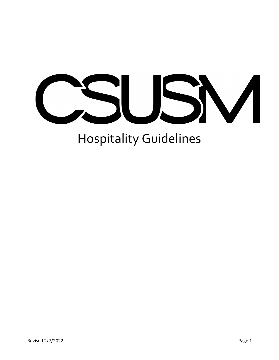

# Hospitality Guidelines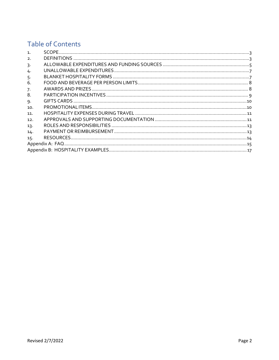## **Table of Contents**

| $\mathbf{1}$ .   |  |  |  |  |
|------------------|--|--|--|--|
| $\overline{2}$ . |  |  |  |  |
| 3.               |  |  |  |  |
| 4.               |  |  |  |  |
| 5.               |  |  |  |  |
| 6.               |  |  |  |  |
| 7.               |  |  |  |  |
| 8.               |  |  |  |  |
| 9.               |  |  |  |  |
| 10.              |  |  |  |  |
| 11.              |  |  |  |  |
| 12.              |  |  |  |  |
| 13.              |  |  |  |  |
| 14.              |  |  |  |  |
| 15.              |  |  |  |  |
|                  |  |  |  |  |
|                  |  |  |  |  |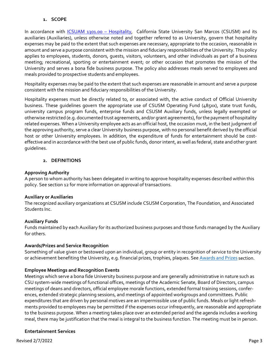#### **1. SCOPE**

<span id="page-2-0"></span>In accordance with **ICSUAM 1301.00 - Hospitality,** California State University San Marcos (CSUSM) and its auxiliaries (Auxiliaries), unless otherwise noted and together referred to as University, govern that hospitality expenses may be paid to the extent that such expenses are necessary, appropriate to the occasion, reasonable in amount and serve a purpose consistent with the mission and fiduciary responsibilities of the University. This policy applies to employees, students, donors, guests, visitors, volunteers, and other individuals as part of a business meeting; recreational, sporting or entertainment event; or other occasion that promotes the mission of the University and serves a bona fide business purpose. The policy also addresses meals served to employees and meals provided to prospective students and employees.

Hospitality expenses may be paid to the extent that such expenses are reasonable in amount and serve a purpose consistent with the mission and fiduciary responsibilities of the University.

Hospitality expenses must be directly related to, or associated with, the active conduct of Official University business. These guidelines govern the appropriate use of CSUSM Operating Fund (485xx), state trust funds, university campus program funds, enterprise funds and CSUSM Auxiliary funds, unless legally exempted or otherwise restricted (e.g. documented trust agreements, and/or grant agreements), for the payment of hospitality related expenses. When a University employee acts as an official host, the occasion must, in the best judgment of the approving authority, serve a clear University business purpose, with no personal benefit derived by the official host or other University employees. In addition, the expenditure of funds for entertainment should be costeffective and in accordance with the best use of public funds, donor intent, as well as federal, state and other grant guidelines.

## **2. DEFINITIONS**

## <span id="page-2-1"></span>**Approving Authority**

A person to whom authority has been delegated in writing to approve hospitality expenses described within this policy. See section 12 for more information on approval of transactions.

#### **Auxiliary or Auxiliaries**

The recognized auxiliary organizations at CSUSM include CSUSM Corporation, The Foundation, and Associated Students Inc.

#### **Auxiliary Funds**

Funds maintained by each Auxiliary for its authorized business purposes and those funds managed by the Auxiliary for others.

## <span id="page-2-2"></span>**Awards/Prizes and Service Recognition**

Something of value given or bestowed upon an individual, group or entity in recognition of service to the University or achievement benefiting the University, e.g. financial prizes, trophies, plaques. See [Awards and Prizes](#page-7-1) section.

## <span id="page-2-4"></span>**Employee Meetings and Recognition Events**

Meetings which serve a bona fide University business purpose and are generally administrative in nature such as CSU system-wide meetings of functional offices, meetings of the Academic Senate, Board of Directors, campus meetings of deans and directors, official employee morale functions, extended formal training sessions, conferences, extended strategic planning sessions, and meetings of appointed workgroups and committees. Public expenditures that are driven by personal motives are an impermissible use of public funds. Meals or light refreshments provided to employees may be permitted if the expenses occur infrequently, are reasonable and appropriate to the business purpose. When a meeting takes place over an extended period and the agenda includes a working meal, there may be justification that the meal is integral to the business function. The meeting must be in person.

## <span id="page-2-3"></span>**Entertainment Services**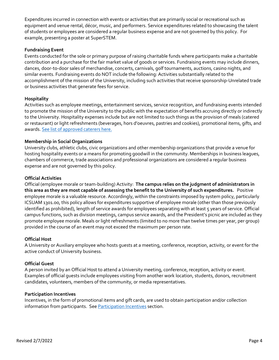Expenditures incurred in connection with events or activities that are primarily social or recreational such as equipment and venue rental, décor, music, and performers. Service expenditures related to showcasing the talent of students or employees are considered a regular business expense and are not governed by this policy. For example, presenting a poster at SuperSTEM.

## **Fundraising Event**

Events conducted for the sole or primary purpose of raising charitable funds where participants make a charitable contribution and a purchase for the fair market value of goods or services. Fundraising events may include dinners, dances, door-to-door sales of merchandise, concerts, carnivals, golf tournaments, auctions, casino nights, and similar events. Fundraising events do NOT include the following: Activities substantially related to the accomplishment of the mission of the University, including such activities that receive sponsorship-Unrelated trade or business activities that generate fees for service.

#### **Hospitality**

Activities such as employee meetings, entertainment services, service recognition, and fundraising events intended to promote the mission of the University to the public with the expectation of benefits accruing directly or indirectly to the University. Hospitality expenses include but are not limited to such things as the provision of meals (catered or restaurant) or light refreshments (beverages, hors d'oeuvres, pastries and cookies), promotional items, gifts, and awards. [See list of approved caterers here.](https://www.csusm.edu/corp/dining/approvedcaterers/index.html)

## **Membership in Social Organizations**

University clubs, athletic clubs, civic organizations and other membership organizations that provide a venue for hosting hospitality events or a means for promoting goodwill in the community. Memberships in business leagues, chambers of commerce, trade associations and professional organizations are considered a regular business expense and are not governed by this policy.

## <span id="page-3-0"></span>**Official Activities**

Official (employee morale or team-building) Activity: **The campus relies on the judgment of administrators in this area as they are most capable of assessing the benefit to the University of such expenditures.** Positive employee morale is a valuable resource. Accordingly, within the constraints imposed by system policy, particularly ICSUAM 1301.00, this policy allows for expenditures supportive of employee morale (other than those previously identified as prohibited), length of service awards for employees separating with at least 5 years of service. Official campus functions, such as division meetings, campus service awards, and the President's picnic are included as they promote employee morale. Meals or light refreshments (limited to no more than twelve times per year, per group) provided in the course of an event may not exceed the maximum per person rate.

#### **Official Host**

A University or Auxiliary employee who hosts guests at a meeting, conference, reception, activity, or event for the active conduct of University business.

#### **Official Guest**

A person invited by an Official Host to attend a University meeting, conference, reception, activity or event. Examples of official guests include employees visiting from another work location, students, donors, recruitment candidates, volunteers, members of the community, or media representatives.

#### **Participation Incentives**

Incentives, in the form of promotional items and gift cards, are used to obtain participation and/or collection information from participants. See **Participation Incentives** section.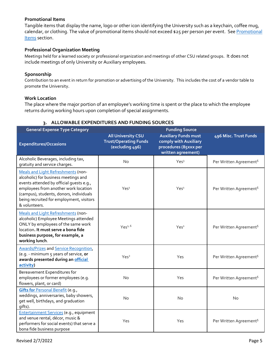## **Promotional Items**

Tangible items that display the name, logo or other icon identifying the University such as a keychain, coffee mug, calendar, or clothing. The value of promotional items should not exceed \$25 per person per event. See Promotional [Items](#page-9-1) section.

## **Professional Organization Meeting**

Meetings held for a learned society or professional organization and meetings of other CSU related groups. It does not include meetings of only University or Auxiliary employees.

#### **Sponsorship**

Contribution to an event in return for promotion or advertising of the University. This includes the cost of a vendor table to promote the University.

#### **Work Location**

The place where the major portion of an employee's working time is spent or the place to which the employee returns during working hours upon completion of special assignments.

## **3. ALLOWABLE EXPENDITURES AND FUNDING SOURCES**

<span id="page-4-0"></span>

| <b>General Expense Type Category</b>                                                                                                                                                                                                                                   | <b>All University CSU</b>                       | <b>Funding Source</b><br><b>Auxiliary Funds must</b>                 | 496 Misc. Trust Funds              |
|------------------------------------------------------------------------------------------------------------------------------------------------------------------------------------------------------------------------------------------------------------------------|-------------------------------------------------|----------------------------------------------------------------------|------------------------------------|
| <b>Expenditures/Occasions</b>                                                                                                                                                                                                                                          | <b>Trust/Operating Funds</b><br>(excluding 496) | comply with Auxiliary<br>procedures (85xxx per<br>written agreement) |                                    |
| Alcoholic Beverages, including tax,<br>gratuity and service charges.                                                                                                                                                                                                   | <b>No</b>                                       | Yes <sup>3</sup>                                                     | Per Written Agreement <sup>5</sup> |
| Meals and Light Refreshments (non-<br>alcoholic) for business meetings and<br>events attended by official quests e.g.,<br>employees from another work location<br>(campus), students, donors, individuals<br>being recruited for employment, visitors<br>& volunteers. | Yes <sup>1</sup>                                | Yes <sup>1</sup>                                                     | Per Written Agreement <sup>5</sup> |
| Meals and Light Refreshments (non-<br>alcoholic) Employee Meetings attended<br>ONLY by employees of the same work<br>location. It must serve a bona fide<br>business purpose, for example, a<br>working lunch.                                                         | Yes <sup>1, 6</sup>                             | Yes <sup>1</sup>                                                     | Per Written Agreement <sup>5</sup> |
| <b>Awards/Prizes and Service Recognition,</b><br>(e.g. - minimum 5 years of service, or<br>awards presented during an official<br>activity)                                                                                                                            | Yes <sup>2</sup>                                | Yes                                                                  | Per Written Agreement <sup>5</sup> |
| Bereavement Expenditures for<br>employees or former employees (e.g.<br>flowers, plant, or card)                                                                                                                                                                        | <b>No</b>                                       | Yes                                                                  | Per Written Agreement <sup>5</sup> |
| Gifts for Personal Benefit (e.g.,<br>weddings, anniversaries, baby showers,<br>get well, birthdays, and graduation<br>gifts).                                                                                                                                          | No                                              | No                                                                   | <b>No</b>                          |
| Entertainment Services (e.g., equipment<br>and venue rental, décor, music &<br>performers for social events) that serve a<br>bona fide business purpose                                                                                                                | Yes                                             | Yes                                                                  | Per Written Agreement <sup>5</sup> |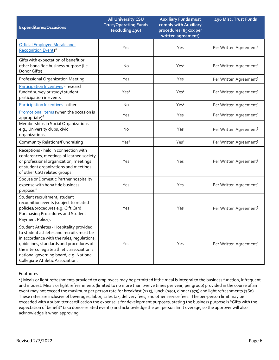| <b>Expenditures/Occasions</b>                                                                                                                                                                                                                                                                             | <b>All University CSU</b><br><b>Trust/Operating Funds</b><br>(excluding 496) | <b>Auxiliary Funds must</b><br>comply with Auxiliary<br>procedures (85xxx per<br>written agreement) | 496 Misc. Trust Funds              |
|-----------------------------------------------------------------------------------------------------------------------------------------------------------------------------------------------------------------------------------------------------------------------------------------------------------|------------------------------------------------------------------------------|-----------------------------------------------------------------------------------------------------|------------------------------------|
| Official Employee Morale and<br>Recognition Events <sup>6</sup>                                                                                                                                                                                                                                           | Yes                                                                          | Yes                                                                                                 | Per Written Agreement <sup>5</sup> |
| Gifts with expectation of benefit or<br>other bona fide business purpose (i.e.<br>Donor Gifts)                                                                                                                                                                                                            | No                                                                           | Yes <sup>2</sup>                                                                                    | Per Written Agreement <sup>5</sup> |
| <b>Professional Organization Meeting</b>                                                                                                                                                                                                                                                                  | Yes                                                                          | Yes                                                                                                 | Per Written Agreement <sup>5</sup> |
| Participation Incentives - research<br>funded survey or study/ student<br>participation in events                                                                                                                                                                                                         | Yes <sup>2</sup>                                                             | Yes <sup>2</sup>                                                                                    | Per Written Agreement <sup>5</sup> |
| Participation Incentives- other                                                                                                                                                                                                                                                                           | <b>No</b>                                                                    | Yes <sup>2</sup>                                                                                    | Per Written Agreement <sup>5</sup> |
| Promotional Items (when the occasion is<br>appropriate) <sup>6</sup>                                                                                                                                                                                                                                      | Yes                                                                          | Yes                                                                                                 | Per Written Agreement <sup>5</sup> |
| Memberships in Social Organizations<br>e.g., University clubs, civic<br>organizations.                                                                                                                                                                                                                    | <b>No</b>                                                                    | Yes                                                                                                 | Per Written Agreement <sup>5</sup> |
| Community Relations/Fundraising                                                                                                                                                                                                                                                                           | Yes <sup>4</sup>                                                             | Yes <sup>4</sup>                                                                                    | Per Written Agreement <sup>5</sup> |
| Receptions - held in connection with<br>conferences, meetings of learned society<br>or professional organization, meetings<br>of student organizations and meetings<br>of other CSU related groups.                                                                                                       | Yes                                                                          | Yes                                                                                                 | Per Written Agreement <sup>5</sup> |
| Spouse or Domestic Partner hospitality<br>expense with bona fide business<br>purpose. <sup>6</sup>                                                                                                                                                                                                        | Yes                                                                          | Yes                                                                                                 | Per Written Agreement <sup>5</sup> |
| Student recruitment, student<br>recognition events (subject to related<br>policies/procedures e.g. Gift Card<br>Purchasing Procedures and Student<br>Payment Policy).                                                                                                                                     | Yes                                                                          | Yes                                                                                                 | Per Written Agreement <sup>5</sup> |
| Student Athletes - Hospitality provided<br>to student athletes and recruits must be<br>in accordance with the rules, regulations,<br>guidelines, standards and procedures of<br>the intercollegiate athletic association's<br>national governing board, e.g. National<br>Collegiate Athletic Association. | Yes                                                                          | Yes                                                                                                 | Per Written Agreement <sup>5</sup> |

#### Footnotes

1) Meals or light refreshments provided to employees may be permitted if the meal is integral to the business function, infrequent and modest. Meals or light refreshments (limited to no more than twelve times per year, per group) provided in the course of an event may not exceed the maximum per person rate for breakfast (\$25), lunch (\$50), dinner (\$75) and light refreshments (\$60). These rates are inclusive of beverages, labor, sales tax, delivery fees, and other service fees. The per-person limit may be exceeded with a submitter certification the expense is for development purposes, stating the business purpose is "Gifts with the expectation of benefit" (aka donor-related events) and acknowledge the per person limit overage, so the approver will also acknowledge it when approving.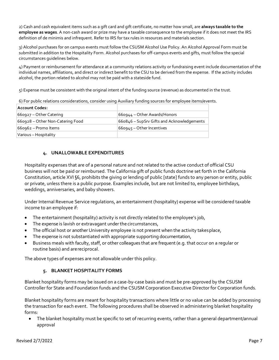2) Cash and cash equivalent items such as a gift card and gift certificate, no matter how small, are **always taxable to the employee as wages**. A non-cash award or prize may have a taxable consequence to the employee if it does not meet the IRS definition of de minimis and infrequent. Refer to IRS for tax rules in resources and materials section.

3) Alcohol purchases for on campus events must follow the CSUSM Alcohol Use Policy. An Alcohol Approval Form must be submitted in addition to the Hospitality Form. Alcohol purchases for off-campus events and gifts, must follow the special circumstances guidelines below.

4) Payment or reimbursement for attendance at a community relations activity or fundraising event include documentation of the individual names, affiliations, and direct or indirect benefit to the CSU to be derived from the expense. If the activity includes alcohol, the portion related to alcohol may not be paid with a stateside fund.

5) Expense must be consistent with the original intent of the funding source (revenue) as documented in the trust.

6) For public relations considerations, consider using Auxiliary funding sources for employee items/events.

| Account Codes:                   |                                            |
|----------------------------------|--------------------------------------------|
| 660927 – Other Catering          | 660944 – Other Awards/Honors               |
| 660928 – Other Non-Catering Food | 660846 - SupSrv Gifts and Acknowledgements |
| 660962 – Promo Items             | 660945 - Other Incentives                  |
| Various - Hospitality            |                                            |

## **4. UNALLOWABLE EXPENDITURES**

<span id="page-6-0"></span>Hospitality expenses that are of a personal nature and not related to the active conduct of official CSU business will not be paid or reimbursed. The California gift of public funds doctrine set forth in the California Constitution, article XVI §6, prohibits the giving or lending of public [state] funds to any person or entity, public or private, unless there is a public purpose. Examples include, but are not limited to, employee birthdays, weddings, anniversaries, and baby showers.

Under Internal Revenue Service regulations, an entertainment (hospitality) expense will be considered taxable income to an employee if:

- The entertainment (hospitality) activity is not directly related to the employee's job,
- The expense is lavish or extravagant under the circumstances,
- The official host or another University employee is not present when the activity takes place,
- The expense is not substantiated with appropriate supporting documentation,
- Business meals with faculty, staff, or other colleagues that are frequent (e.g. that occur on a regular or routine basis) and arereciprocal.

<span id="page-6-1"></span>The above types of expenses are not allowable under this policy.

## **5. BLANKET HOSPITALITY FORMS**

Blanket hospitality forms may be issued on a case-by-case basis and must be pre-approved by the CSUSM Controller for State and Foundation funds and the CSUSM Corporation Executive Director for Corporation funds.

Blanket hospitality forms are meant for hospitality transactions where little or no value can be added by processing the transaction for each event. The following procedures shall be observed in administering blanket hospitality forms:

• The blanket hospitality must be specific to set of recurring events, rather than a general department/annual approval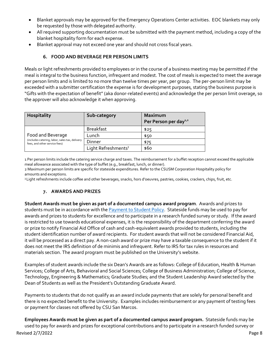- Blanket approvals may be approved for the Emergency Operations Center activities. EOC blankets may only be requested by those with delegated authority.
- All required supporting documentation must be submitted with the payment method, including a copy of the blanket hospitality form for each expense.
- Blanket approval may not exceed one year and should not cross fiscal years.

## **6. FOOD AND BEVERAGE PER PERSON LIMITS**

<span id="page-7-0"></span>Meals or light refreshments provided to employees or in the course of a business meeting may be permitted if the meal is integral to the business function, infrequent and modest. The cost of meals is expected to meet the average per person limits and is limited to no more than twelve times per year, per group. The per-person limit may be exceeded with a submitter certification the expense is for development purposes, stating the business purpose is "Gifts with the expectation of benefit" (aka donor-related events) and acknowledge the per person limit overage, so the approver will also acknowledge it when approving.

| <b>Hospitality</b>                                                              | Sub-category                    | Maximum<br>Per Person per day <sup>1,2</sup> |
|---------------------------------------------------------------------------------|---------------------------------|----------------------------------------------|
|                                                                                 | <b>Breakfast</b>                | \$25                                         |
| Food and Beverage                                                               | Lunch                           | \$50                                         |
| (includes catering, labor, sales tax, delivery<br>fees, and other service fees) | Dinner                          | \$75                                         |
|                                                                                 | Light Refreshments <sup>3</sup> | \$60                                         |

1 Per person limits include the catering service charge and taxes. The reimbursement for a buffet reception cannot exceed the applicable meal allowance associated with the type of buffet (e.g., breakfast, lunch, or dinner).

2 Maximum per person limits are specific for stateside expenditures. Refer to the CSUSM Corporation Hospitality policy for amounts and exceptions.

<span id="page-7-1"></span><sup>3</sup> Light refreshments include coffee and other beverages, snacks, hors d'oeuvres, pastries, cookies, crackers, chips, fruit, etc.

## **7. AWARDS AND PRIZES**

**Student Awards must be given as part of a documented campus award program**. Awards and prizes to students must be in accordance with the [Payment to Student Policy.](https://csusm.policystat.com/policy/7987826/latest/) Stateside funds may be used to pay for awards and prizes to students for excellence and to participate in a research funded survey or study. If the award is restricted to use towards educational expenses, it is the responsibility of the department conferring the award or prize to notify Financial Aid Office of cash and cash-equivalent awards provided to students, including the student identification number of award recipients. For student awards that will not be considered Financial Aid, it will be processed as a direct pay. A non-cash award or prize may have a taxable consequence to the student if it does not meet the IRS definition of de minimis and infrequent. Refer to IRS for tax rules in resources and materials section. The award program must be published on the University's website.

Examples of student awards include the six Dean's Awards are as follows: College of Education, Health & Human Services; College of Arts, Behavioral and Social Sciences; College of Business Administration; College of Science, Technology, Engineering & Mathematics; Graduate Studies; and the Student Leadership Award selected by the Dean of Students as well as the President's Outstanding Graduate Award.

Payments to students that do not qualify as an award include payments that are solely for personal benefit and there is no expected benefit to the University. Examples includes reimbursement or any payment of testing fees or payment for classes not offered by CSU San Marcos.

Revised 2/7/2022 Page 8 **Employees Awards must be given as part of a documented campus award program.** Stateside funds may be used to pay for awards and prizes for exceptional contributions and to participate in a research funded survey or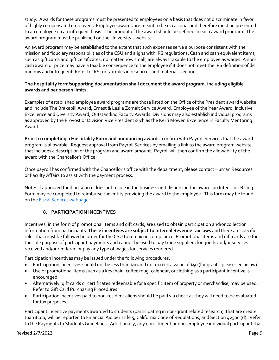study. Awards for these programs must be presented to employees on a basis that does not discriminate in favor of highly compensated employees. Employee awards are meant to be occasional and therefore must be presented to an employee on an infrequent basis. The amount of the award should be defined in each award program. The award program must be published on the University's website.

An award program may be established to the extent that such expenses serve a purpose consistent with the mission and fiduciary responsibilities of the CSU and aligns with IRS regulations. Cash and cash equivalent items, such as gift cards and gift certificates, no matter how small, are always taxable to the employee as wages. A noncash award or prize may have a taxable consequence to the employee if it does not meet the IRS definition of de minimis and infrequent. Refer to IRS for tax rules in resources and materials section.

## **The hospitality form/supporting documentation shall document the award program, including eligible awards and per person limits.**

Examples of established employee award programs are those listed on the Office of the President award website and include The Brakebill Award, Ernest & Leslie Zomalt Service Award, Employee of the Year Award, Inclusive Excellence and Diversity Award, Outstanding Faculty Awards. Divisions may also establish individual programs as approved by the Provost or Division Vice President such as the Kerri Mowen Excellence in Faculty Mentoring Award.

**Prior to completing a Hospitality Form and announcing awards**, confirm with Payroll Services that the award program is allowable. Request approval from Payroll Services by emailing a link to the award program website that includes a description of the program and award amount. Payroll will then confirm the allowability of the award with the Chancellor's Office.

Once payroll has confirmed with the Chancellor's office with the department, please contact Human Resources or Faculty Affairs to assist with the payment process.

Note: If approved funding source does not reside in the business unit disbursing the award, an Inter-Unit Billing Form may be completed to reimburse the entity providing the award to the employee. This form may be found on the [Fiscal Services webpage.](https://www.csusm.edu/fs/fs_forms.html)

## **8. PARTICIPATION INCENTIVES**

<span id="page-8-0"></span>Incentives, in the form of promotional items and gift cards, are used to obtain participation and/or collection information from participants. **These incentives are subject to Internal Revenue tax laws** and there are specific rules that must be followed in order for the CSU to remain in compliance. Promotional items and gift cards are for the sole purpose of participant payments and cannot be used to pay trade suppliers for goods and/or services received and/or rendered or pay any type of wages for services rendered.

Participation incentives may be issued under the following procedures:

- Participation incentives should not be less than \$10and not exceed a value of\$50 (for grants, please see below)
- Use of promotional items such as a keychain, coffee mug, calendar, or clothing as a participant incentive is encouraged.
- Alternatively, gift cards or certificates redeemable for a specific item of property or merchandise, may be used. Refer to Gift Card Purchasing Procedures.
- Participation incentives paid to non-resident aliens should be paid via check as they will need to be evaluated for tax purposes.

Participant incentive payments awarded to students (participating in non-grant related research), that are greater than \$100, will be reported to Financial Aid per Title 5, California Code of Regulations, and Section 42500 (d). Refer to the Payments to Students Guidelines. Additionally, any non-student or non-employee individual participant that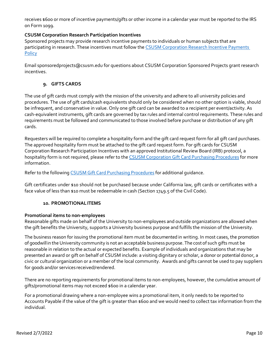receives \$600 or more of incentive payments/gifts or other income in a calendar year must be reported to the IRS on Form 1099.

## **CSUSM Corporation Research Participation Incentives**

Sponsored projects may provide research incentive payments to individuals or human subjects that are participating in research. These incentives must follow th[e CSUSM Corporation Research Incentive Payments](https://www.csusm.edu/corp/businesssrvcesandfinance/policies_proc_forms/pol_osp/corp306researchincentivepaymentpolicy.pdf)  **[Policy](https://www.csusm.edu/corp/businesssrvcesandfinance/policies_proc_forms/pol_osp/corp306researchincentivepaymentpolicy.pdf)** 

Email [sponsoredprojects@csusm.edu](mailto:sponsoredprojects@csusm.edu) for questions about CSUSM Corporation Sponsored Projects grant research incentives.

## **9. GIFTS CARDS**

<span id="page-9-0"></span>The use of gift cards must comply with the mission of the university and adhere to all university policies and procedures. The use of gift cards/cash equivalents should only be considered when no other option is viable, should be infrequent, and conservative in value. Only one gift card can be awarded to a recipient per event/activity. As cash-equivalent instruments, gift cards are governed by tax rules and internal control requirements. These rules and requirements must be followed and communicated to those involved before purchase or distribution of any gift cards.

Requesters will be required to complete a hospitality form and the gift card request form for all gift card purchases. The approved hospitality form must be attached to the gift card request form. For gift cards for CSUSM Corporation Research Participation Incentives with an approved Institutional Review Board (IRB) protocol, a hospitality form is not required, please refer to th[e CSUSM Corporation Gift Card Purchasing Procedures](https://www.csusm.edu/corp/businesssrvcesandfinance/corpprocurement/giftcards/index.html) for more information.

Refer to the followin[g CSUSM Gift Card Purchasing Procedures](https://www.csusm.edu/procurement/documents/apdocs/gift_card_purchasing_procedures.pdf) for additional quidance.

Gift certificates under \$10 should not be purchased because under California law, gift cards or certificates with a face value of less than \$10 must be redeemable in cash (Section 1749.5 of the Civil Code).

#### **10. PROMOTIONALITEMS**

#### <span id="page-9-1"></span>**Promotional items to non-employees**

Reasonable gifts made on behalf of the University to non-employees and outside organizations are allowed when the gift benefits the University, supports a University business purpose and fulfills the mission of the University.

The business reason for issuing the promotional item must be documented in writing. In most cases, the promotion of goodwillin theUniversity community is not an acceptable business purpose.The cost of such gifts must be reasonable in relation to the actual or expected benefits. Example of individuals and organizations that may be presented an award or gift on behalf of CSUSM include: a visiting dignitary or scholar, a donor or potential donor, a civic or cultural organization or a member of the local community. Awards and gifts cannot be used to pay suppliers for goods and/or services received/rendered.

There are no reporting requirements for promotional items to non-employees, however, the cumulative amount of gifts/promotional items may not exceed \$600 in a calendar year.

For a promotional drawing where a non-employee wins a promotional item, it only needs to be reported to Accounts Payable if the value of the gift is greater than \$600 and we would need to collect tax information from the individual.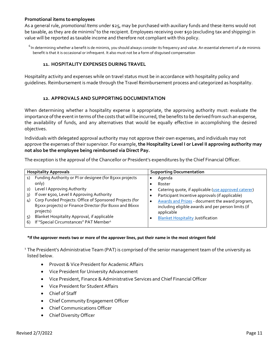## **Promotional items to employees**

As a general rule, *promotional Items* under \$25, may be purchased with auxiliary funds and these items would not be taxable, as they are de minimis<sup>6</sup> to the recipient. Employees receiving over \$50 (excluding tax and shipping) in value will be reported as taxable income and therefore not compliant with this policy.

 $6$  In determining whether a benefit is de minimis, you should always consider its frequency and value. An essential element of a de minimis benefit is that it is occasional or infrequent. It also must not be a form of disguised compensation

## **11. HOSPITALITY EXPENSES DURING TRAVEL**

<span id="page-10-0"></span>Hospitality activity and expenses while on travel status must be in accordance with hospitality policy and guidelines. Reimbursement is made through the Travel Reimbursement process and categorized as hospitality.

## **12. APPROVALS AND SUPPORTING DOCUMENTATION**

<span id="page-10-1"></span>When determining whether a hospitality expense is appropriate, the approving authority must: evaluate the importance of the event in terms of the costs that will be incurred, the benefits to be derived from such an expense, the availability of funds, and any alternatives that would be equally effective in accomplishing the desired objectives.

Individuals with delegated approval authority may not approve their own expenses, and individuals may not approve the expenses of their supervisor. For example, **the Hospitality Level I or Level II approving authority may not also be the employee being reimbursed via Direct Pay.**

The exception is the approval of the Chancellor or President's expenditures by the Chief Financial Officer.

| <b>Hospitality Approvals</b> |                                                          | <b>Supporting Documentation</b> |                                                      |
|------------------------------|----------------------------------------------------------|---------------------------------|------------------------------------------------------|
| 1)                           | Funding Authority or PI or designee (for 85xxx projects  |                                 | Agenda                                               |
|                              | only)                                                    |                                 | Roster                                               |
| 2)                           | Level I Approving Authority                              |                                 | Catering quote, if applicable (use approved caterer) |
| 3)                           | If over \$500, Level II Approving Authority              |                                 | Participant Incentive approvals (if applicable)      |
| 4)                           | Corp Funded Projects: Office of Sponsored Projects (for  |                                 | Awards and Prizes - document the award program,      |
|                              | 85xxx projects) or Finance Director (for 81xxx and 86xxx |                                 | including eligible awards and per person limits (if  |
|                              | projects)                                                |                                 | applicable                                           |
| 5)                           | Blanket Hospitality Approval, if applicable              |                                 | <b>Blanket Hospitality Justification</b>             |
| 6)                           | If "Special Circumstances" PAT Member <sup>1</sup>       |                                 |                                                      |

#### \*If the approver meets two or more of the approver lines, put their name in the most stringent field

<sup>1</sup> The President's Administrative Team (PAT) is comprised of the senior management team of the university as listed below.

- Provost & Vice President for Academic Affairs
- Vice President for University Advancement
- Vice President, Finance & Administrative Services and Chief Financial Officer
- Vice President for Student Affairs
- Chief of Staff
- Chief Community Engagement Officer
- Chief Communications Officer
- Chief Diversity Officer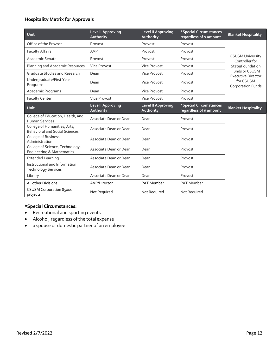## **Hospitality Matrix for Approvals**

| Unit                                                                    | <b>Level I Approving</b><br>Authority | <b>Level II Approving</b><br>Authority | *Special Circumstances<br>regardless of \$ amount | <b>Blanket Hospitality</b>                  |  |
|-------------------------------------------------------------------------|---------------------------------------|----------------------------------------|---------------------------------------------------|---------------------------------------------|--|
| Office of the Provost                                                   | Provost                               | Provost                                | Provost                                           |                                             |  |
| <b>Faculty Affairs</b>                                                  | AVP                                   | Provost                                | Provost                                           |                                             |  |
| <b>Academic Senate</b>                                                  | Provost                               | Provost                                | Provost                                           | <b>CSUSM University</b><br>Controller for   |  |
| Planning and Academic Resources                                         | Vice Provost                          | <b>Vice Provost</b>                    | Provost                                           | State/Foundation                            |  |
| <b>Graduate Studies and Research</b>                                    | Dean                                  | <b>Vice Provost</b>                    | Provost                                           | Funds or CSUSM<br><b>Executive Director</b> |  |
| Undergraduate/First Year<br>Programs                                    | Dean                                  | <b>Vice Provost</b>                    | Provost                                           | for CSUSM<br><b>Corporation Funds</b>       |  |
| Academic Programs                                                       | Dean                                  | <b>Vice Provost</b>                    | Provost                                           |                                             |  |
| <b>Faculty Center</b>                                                   | Vice Provost                          | <b>Vice Provost</b>                    | Provost                                           |                                             |  |
| <b>Unit</b>                                                             | <b>Level I Approving</b><br>Authority | <b>Level II Approving</b><br>Authority | *Special Circumstances<br>regardless of \$ amount | <b>Blanket Hospitality</b>                  |  |
| College of Education, Health, and<br><b>Human Services</b>              | Associate Dean or Dean                | Dean                                   | Provost                                           |                                             |  |
| College of Humanities, Arts,<br><b>Behavioral and Social Sciences</b>   | Associate Dean or Dean                | Dean                                   | Provost                                           |                                             |  |
| College of Business<br>Administration                                   | Associate Dean or Dean                | Dean                                   | Provost                                           |                                             |  |
| College of Science, Technology,<br><b>Engineering &amp; Mathematics</b> | Associate Dean or Dean                | Dean                                   | Provost                                           |                                             |  |
| <b>Extended Learning</b>                                                | Associate Dean or Dean                | Dean                                   | Provost                                           |                                             |  |
| Instructional and Information<br><b>Technology Services</b>             | Associate Dean or Dean                | Dean                                   | Provost                                           |                                             |  |
| Library                                                                 | Associate Dean or Dean                | Dean                                   | Provost                                           |                                             |  |
| All other Divisions                                                     | AVP/Director                          | <b>PAT Member</b>                      | <b>PAT Member</b>                                 |                                             |  |
| <b>CSUSM Corporation 85xxx</b><br>projects                              | Not Required                          | Not Required                           | Not Required                                      |                                             |  |

## **\*Special Circumstances:**

- Recreational and sporting events
- Alcohol, regardless of the total expense
- a spouse or domestic partner of an employee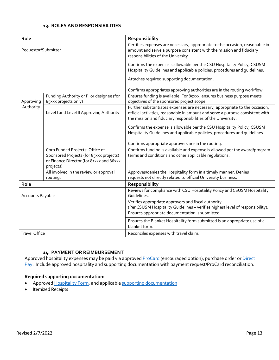#### **13. ROLES AND RESPONSIBILITIES**

<span id="page-12-0"></span>

| Role                 |                                                                                                                                     | Responsibility                                                                                                                                                                                                               |
|----------------------|-------------------------------------------------------------------------------------------------------------------------------------|------------------------------------------------------------------------------------------------------------------------------------------------------------------------------------------------------------------------------|
| Requestor/Submitter  |                                                                                                                                     | Certifies expenses are necessary, appropriate to the occasion, reasonable in<br>amount and serve a purpose consistent with the mission and fiduciary<br>responsibilities of the University.                                  |
|                      |                                                                                                                                     | Confirms the expense is allowable per the CSU Hospitality Policy, CSUSM<br>Hospitality Guidelines and applicable policies, procedures and quidelines.                                                                        |
|                      |                                                                                                                                     | Attaches required supporting documentation.                                                                                                                                                                                  |
|                      |                                                                                                                                     | Confirms appropriates approving authorities are in the routing workflow.                                                                                                                                                     |
| Approving            | Funding Authority or PI or designee (for<br>85xxx projects only)                                                                    | Ensures funding is available. For 85xxx, ensures business purpose meets<br>objectives of the sponsored project scope                                                                                                         |
| Authority            | Level I and Level II Approving Authority                                                                                            | Further substantiates expenses are necessary, appropriate to the occasion,<br>official activities, reasonable in amount and serve a purpose consistent with<br>the mission and fiduciary responsibilities of the University. |
|                      |                                                                                                                                     | Confirms the expense is allowable per the CSU Hospitality Policy, CSUSM<br>Hospitality Guidelines and applicable policies, procedures and quidelines.                                                                        |
|                      |                                                                                                                                     | Confirms appropriate approvers are in the routing.                                                                                                                                                                           |
|                      | Corp Funded Projects: Office of<br>Sponsored Projects (for 85xxx projects)<br>or Finance Director (for 81xxx and 86xxx<br>projects) | Confirms funding is available and expense is allowed per the award/program<br>terms and conditions and other applicable regulations.                                                                                         |
|                      | All involved in the review or approval<br>routing.                                                                                  | Approves/denies the Hospitality form in a timely manner. Denies<br>requests not directly related to official University business.                                                                                            |
| Role                 |                                                                                                                                     | Responsibility                                                                                                                                                                                                               |
| Accounts Payable     |                                                                                                                                     | Reviews for compliance with CSU Hospitality Policy and CSUSM Hospitality<br>Guidelines.                                                                                                                                      |
|                      |                                                                                                                                     | Verifies appropriate approvers and fiscal authority<br>(Per CSUSM Hospitality Guidelines - verifies highest level of responsibility).                                                                                        |
|                      |                                                                                                                                     | Ensures appropriate documentation is submitted.                                                                                                                                                                              |
|                      |                                                                                                                                     | Ensures the Blanket Hospitality form submitted is an appropriate use of a<br>blanket form.                                                                                                                                   |
| <b>Travel Office</b> |                                                                                                                                     | Reconciles expenses with travel claim.                                                                                                                                                                                       |

## **14. PAYMENT OR REIMBURSEMENT**

<span id="page-12-1"></span>Approved hospitality expenses may be paid via approve[d ProCard](https://www.csusm.edu/procurement/procurementservices/ebusinessprocard/index.html) (encouraged option), purchase order or Direct [Pay.](https://www.csusm.edu/procurement/ap/directpay) Include approved hospitality and supporting documentation with payment request/ProCard reconciliation.

#### **Required supporting documentation:**

- Approved [Hospitality Form,](https://www.csusm.edu/procurement/ap/hospitality_form.html) and applicabl[e supporting documentation](#page-10-1)
- Itemized Receipts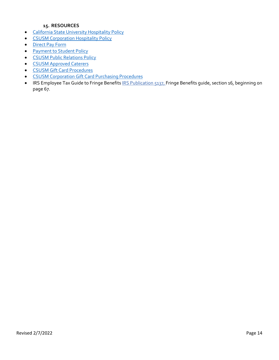## **15. RESOURCES**

- <span id="page-13-0"></span>• [California State University Hospitality Policy](https://calstate.policystat.com/policy/6597023/latest/)
- [CSUSM Corporation Hospitality Policy](https://www.csusm.edu/corp/businesssrvcesandfinance/policies_proc_forms/pol_busserv_fin_acc/hospitalitypolicy.pdf)
- [Direct Pay Form](https://www.csusm.edu/procurement/ap/directpay)
- [Payment to Student Policy](https://csusm.policystat.com/policy/7987826/latest/)
- [CSUSM Public Relations Policy](https://www.csusm.edu/corp/businesssrvcesandfinance/policies_proc_forms/pol_busserv_fin_acc/publicrelationsfundspolicy.pdf)
- [CSUSM Approved Caterers](https://www.csusm.edu/corp/dining/approvedcaterers/index.html)
- CSUSM Gift Card Procedures
- CSUSM Corporation Gift Card Purchasing Procedures
- IRS Employee Tax Guide to Fringe Benefits [IRS Publication 5137,](https://www.irs.gov/pub/irs-pdf/p5137.pdf) Fringe Benefits guide, section 16, beginning on page 67.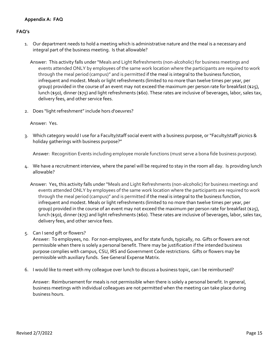## <span id="page-14-0"></span>**FAQ's**

1. Our department needs to hold a meeting which is administrative nature and the meal is a necessary and integral part of the business meeting. Is that allowable?

Answer: This activity falls under "Meals and Light Refreshments (non-alcoholic) for business meetings and events attended ONLY by employees of the same work location where the participants are required to work through the meal period (campus)" and is permitted if the meal is integral to the business function, infrequent and modest. Meals or light refreshments (limited to no more than twelve times per year, per group) provided in the course of an event may not exceed the maximum per person rate for breakfast (\$25), lunch (\$50), dinner (\$75) and light refreshments (\$60). These rates are inclusive of beverages, labor, sales tax, delivery fees, and other service fees.

2. Does "light refreshment" include hors d'oeuvres?

#### Answer: Yes.

3. Which category would I use for a Faculty/staff social event with a business purpose, or "Faculty/staff picnics & holiday gatherings with business purpose?"

Answer: Recognition Events including employee morale functions (must serve a bona fide business purpose).

- 4. We have a recruitment interview, where the panel will be required to stay in the room all day. Is providing lunch allowable?
	- Answer: Yes, this activity falls under "Meals and Light Refreshments (non-alcoholic) for business meetings and events attended ONLY by employees of the same work location where the participants are required to work through the meal period (campus)" and is permitted if the meal is integral to the business function, infrequent and modest. Meals or light refreshments (limited to no more than twelve times per year, per group) provided in the course of an event may not exceed the maximum per person rate for breakfast (\$25), lunch (\$50), dinner (\$75) and light refreshments (\$60). These rates are inclusive of beverages, labor, sales tax, delivery fees, and other service fees.
- 5. Can I send gift or flowers?

Answer: To employees, no. For non-employees, and for state funds, typically, no. Gifts or flowers are not permissible when there is solely a personal benefit. There may be justification if the intended business purpose complies with campus, CSU, IRS and Government Code restrictions. Gifts or flowers may be permissible with auxiliary funds. See General Expense Matrix.

6. I would like to meet with my colleague over lunch to discuss a business topic, can I be reimbursed?

Answer: Reimbursement for meals is not permissible when there is solely a personal benefit. In general, business meetings with individual colleagues are not permitted when the meeting can take place during business hours.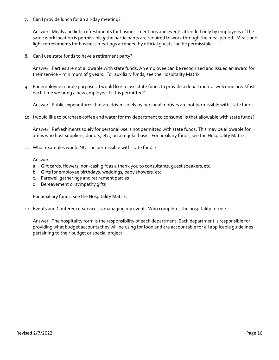7. Can I provide lunch for an all-day meeting?

Answer: Meals and light refreshments for business meetings and events attended only by employees of the same work location is permissible *if* the participants are required to work through the meal period. Meals and light refreshments for business meetings attended by official guests can be permissible.

8. Can I use state funds to have a retirement party?

Answer: Parties are not allowable with state funds. An employee can be recognized and issued an award for their service – minimum of 5 years. For auxiliary funds, see the Hospitality Matrix.

9. For employee morale purposes, I would like to use state funds to provide a departmental welcome breakfast each time we bring a new employee. Is this permitted?

Answer: Public expenditures that are driven solely by personal motives are not permissible with state funds.

10. I would like to purchase coffee and water for my department to consume. Is that allowable with state funds?

Answer: Refreshments solely for personal use is not permitted with state funds. This may be allowable for areas who host suppliers, donors, etc., on a regular basis. For auxiliary funds, see the Hospitality Matrix.

11. What examples would NOT be permissible with state funds?

Answer:

- a. Gift cards, flowers, non-cash gift as a thank you to consultants, quest speakers, etc.
- b. Gifts for employee birthdays, weddings, baby showers, etc.
- c. Farewell gatherings and retirement parties
- d. Bereavement or sympathy gifts

For auxiliary funds, see the Hospitality Matrix.

12. Events and Conference Services is managing my event. Who completes the hospitality forms?

Answer: The hospitality form is the responsibility of each department. Each department is responsible for providing what budget accounts they will be using for food and are accountable for all applicable guidelines pertaining to their budget or special project.